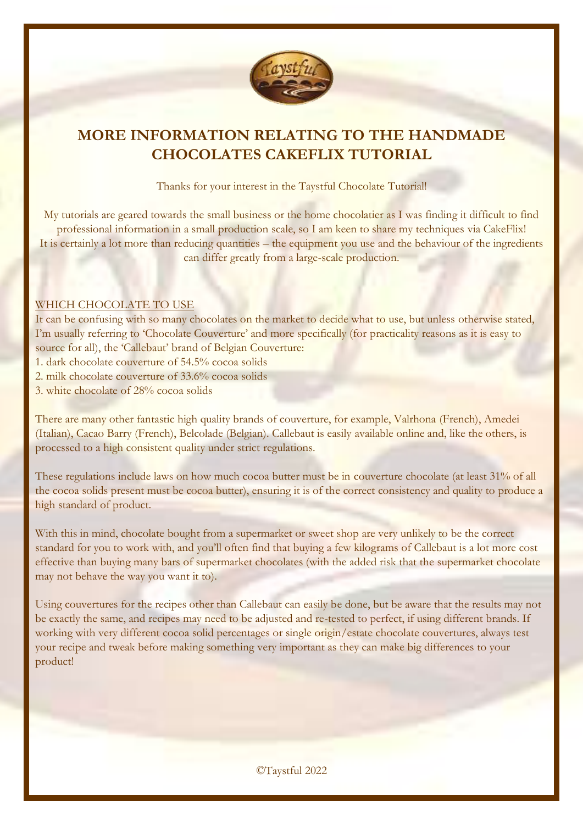

## **MORE INFORMATION RELATING TO THE HANDMADE CHOCOLATES CAKEFLIX TUTORIAL**

Thanks for your interest in the Taystful Chocolate Tutorial!

My tutorials are geared towards the small business or the home chocolatier as I was finding it difficult to find professional information in a small production scale, so I am keen to share my techniques via CakeFlix! It is certainly a lot more than reducing quantities – the equipment you use and the behaviour of the ingredients can differ greatly from a large-scale production.

#### WHICH CHOCOLATE TO USE

It can be confusing with so many chocolates on the market to decide what to use, but unless otherwise stated, I'm usually referring to 'Chocolate Couverture' and more specifically (for practicality reasons as it is easy to source for all), the 'Callebaut' brand of Belgian Couverture:

- 1. dark chocolate couverture of 54.5% cocoa solids
- 2. milk chocolate couverture of 33.6% cocoa solids

3. white chocolate of 28% cocoa solids

There are many other fantastic high quality brands of couverture, for example, Valrhona (French), Amedei (Italian), Cacao Barry (French), Belcolade (Belgian). Callebaut is easily available online and, like the others, is processed to a high consistent quality under strict regulations.

These regulations include laws on how much cocoa butter must be in couverture chocolate (at least 31% of all the cocoa solids present must be cocoa butter), ensuring it is of the correct consistency and quality to produce a high standard of product.

With this in mind, chocolate bought from a supermarket or sweet shop are very unlikely to be the correct standard for you to work with, and you'll often find that buying a few kilograms of Callebaut is a lot more cost effective than buying many bars of supermarket chocolates (with the added risk that the supermarket chocolate may not behave the way you want it to).

Using couvertures for the recipes other than Callebaut can easily be done, but be aware that the results may not be exactly the same, and recipes may need to be adjusted and re-tested to perfect, if using different brands. If working with very different cocoa solid percentages or single origin/estate chocolate couvertures, always test your recipe and tweak before making something very important as they can make big differences to your product!

©Taystful 2022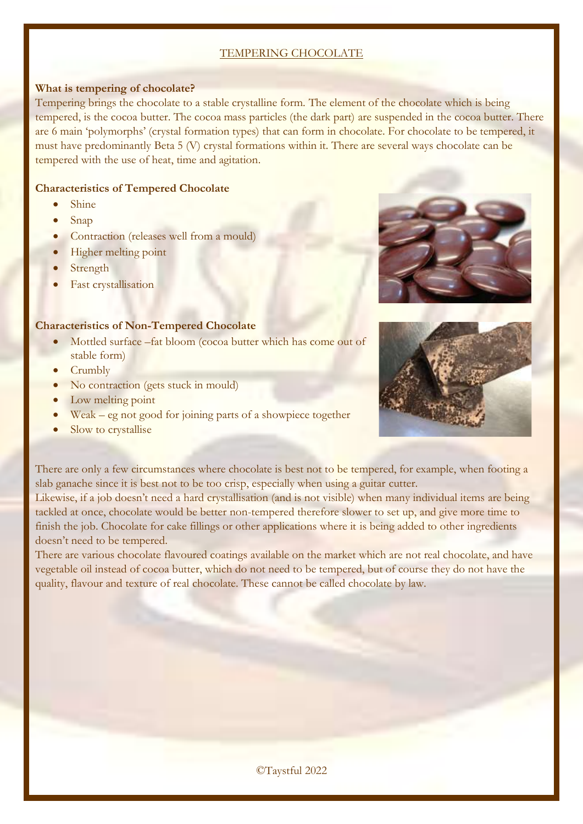#### TEMPERING CHOCOLATE

#### **What is tempering of chocolate?**

Tempering brings the chocolate to a stable crystalline form. The element of the chocolate which is being tempered, is the cocoa butter. The cocoa mass particles (the dark part) are suspended in the cocoa butter. There are 6 main 'polymorphs' (crystal formation types) that can form in chocolate. For chocolate to be tempered, it must have predominantly Beta 5 (V) crystal formations within it. There are several ways chocolate can be tempered with the use of heat, time and agitation.

#### **Characteristics of Tempered Chocolate**

- Shine
- Snap
- Contraction (releases well from a mould)
- Higher melting point
- Strength
- Fast crystallisation

#### **Characteristics of Non-Tempered Chocolate**

- Mottled surface –fat bloom (cocoa butter which has come out of stable form)
- Crumbly
- No contraction (gets stuck in mould)
- Low melting point
- Weak eg not good for joining parts of a showpiece together
- Slow to crystallise





There are only a few circumstances where chocolate is best not to be tempered, for example, when footing a slab ganache since it is best not to be too crisp, especially when using a guitar cutter.

Likewise, if a job doesn't need a hard crystallisation (and is not visible) when many individual items are being tackled at once, chocolate would be better non-tempered therefore slower to set up, and give more time to finish the job. Chocolate for cake fillings or other applications where it is being added to other ingredients doesn't need to be tempered.

There are various chocolate flavoured coatings available on the market which are not real chocolate, and have vegetable oil instead of cocoa butter, which do not need to be tempered, but of course they do not have the quality, flavour and texture of real chocolate. These cannot be called chocolate by law.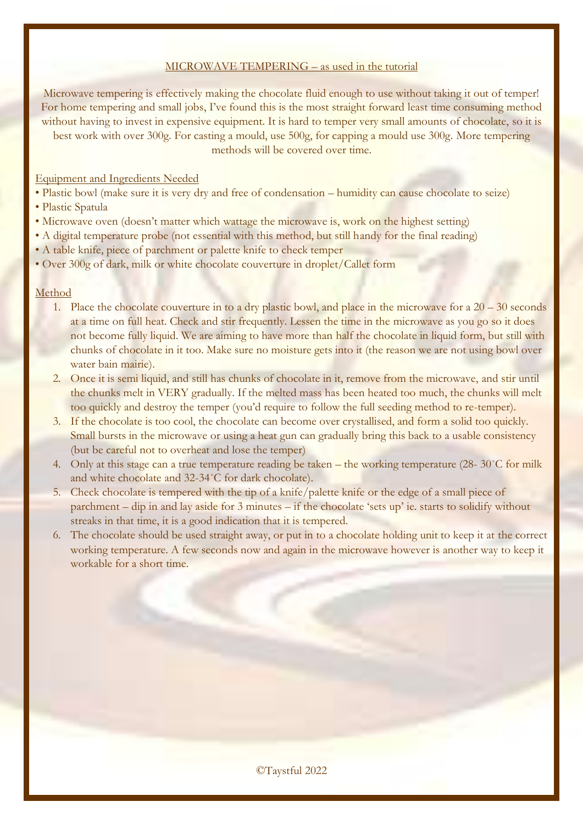#### MICROWAVE TEMPERING – as used in the tutorial

Microwave tempering is effectively making the chocolate fluid enough to use without taking it out of temper! For home tempering and small jobs, I've found this is the most straight forward least time consuming method without having to invest in expensive equipment. It is hard to temper very small amounts of chocolate, so it is best work with over 300g. For casting a mould, use 500g, for capping a mould use 300g. More tempering methods will be covered over time.

#### Equipment and Ingredients Needed

- Plastic bowl (make sure it is very dry and free of condensation humidity can cause chocolate to seize)
- Plastic Spatula
- Microwave oven (doesn't matter which wattage the microwave is, work on the highest setting)
- A digital temperature probe (not essential with this method, but still handy for the final reading)
- A table knife, piece of parchment or palette knife to check temper
- Over 300g of dark, milk or white chocolate couverture in droplet/Callet form

#### Method

- 1. Place the chocolate couverture in to a dry plastic bowl, and place in the microwave for a  $20 30$  seconds at a time on full heat. Check and stir frequently. Lessen the time in the microwave as you go so it does not become fully liquid. We are aiming to have more than half the chocolate in liquid form, but still with chunks of chocolate in it too. Make sure no moisture gets into it (the reason we are not using bowl over water bain mairie).
- 2. Once it is semi liquid, and still has chunks of chocolate in it, remove from the microwave, and stir until the chunks melt in VERY gradually. If the melted mass has been heated too much, the chunks will melt too quickly and destroy the temper (you'd require to follow the full seeding method to re-temper).
- 3. If the chocolate is too cool, the chocolate can become over crystallised, and form a solid too quickly. Small bursts in the microwave or using a heat gun can gradually bring this back to a usable consistency (but be careful not to overheat and lose the temper)
- 4. Only at this stage can a true temperature reading be taken the working temperature (28-  $30^{\circ}$ C for milk and white chocolate and 32-34˚C for dark chocolate).
- 5. Check chocolate is tempered with the tip of a knife/palette knife or the edge of a small piece of parchment – dip in and lay aside for 3 minutes – if the chocolate 'sets up' ie. starts to solidify without streaks in that time, it is a good indication that it is tempered.
- 6. The chocolate should be used straight away, or put in to a chocolate holding unit to keep it at the correct working temperature. A few seconds now and again in the microwave however is another way to keep it workable for a short time.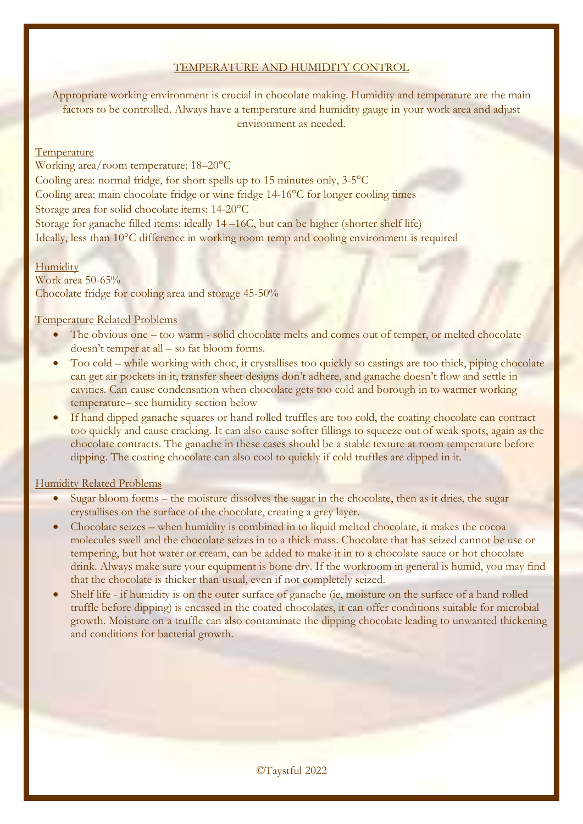#### TEMPERATURE AND HUMIDITY CONTROL

Appropriate working environment is crucial in chocolate making. Humidity and temperature are the main factors to be controlled. Always have a temperature and humidity gauge in your work area and adjust environment as needed.

#### **Temperature**

Working area/room temperature: 18–20°C Cooling area: normal fridge, for short spells up to 15 minutes only, 3-5°C Cooling area: main chocolate fridge or wine fridge 14-16°C for longer cooling times Storage area for solid chocolate items: 14-20°C

Storage for ganache filled items: ideally 14 –16C, but can be higher (shorter shelf life) Ideally, less than 10°C difference in working room temp and cooling environment is required

#### **Humidity**

Work area 50-65% Chocolate fridge for cooling area and storage 45-50%

#### Temperature Related Problems

- The obvious one too warm solid chocolate melts and comes out of temper, or melted chocolate doesn't temper at all – so fat bloom forms.
- Too cold while working with choc, it crystallises too quickly so castings are too thick, piping chocolate can get air pockets in it, transfer sheet designs don't adhere, and ganache doesn't flow and settle in cavities. Can cause condensation when chocolate gets too cold and borough in to warmer working temperature– see humidity section below
- If hand dipped ganache squares or hand rolled truffles are too cold, the coating chocolate can contract too quickly and cause cracking. It can also cause softer fillings to squeeze out of weak spots, again as the chocolate contracts. The ganache in these cases should be a stable texture at room temperature before dipping. The coating chocolate can also cool to quickly if cold truffles are dipped in it.

#### Humidity Related Problems

- Sugar bloom forms the moisture dissolves the sugar in the chocolate, then as it dries, the sugar crystallises on the surface of the chocolate, creating a grey layer.
- Chocolate seizes when humidity is combined in to liquid melted chocolate, it makes the cocoa molecules swell and the chocolate seizes in to a thick mass. Chocolate that has seized cannot be use or tempering, but hot water or cream, can be added to make it in to a chocolate sauce or hot chocolate drink. Always make sure your equipment is bone dry. If the workroom in general is humid, you may find that the chocolate is thicker than usual, even if not completely seized.
- Shelf life if humidity is on the outer surface of ganache (ie, moisture on the surface of a hand rolled truffle before dipping) is encased in the coated chocolates, it can offer conditions suitable for microbial growth. Moisture on a truffle can also contaminate the dipping chocolate leading to unwanted thickening and conditions for bacterial growth.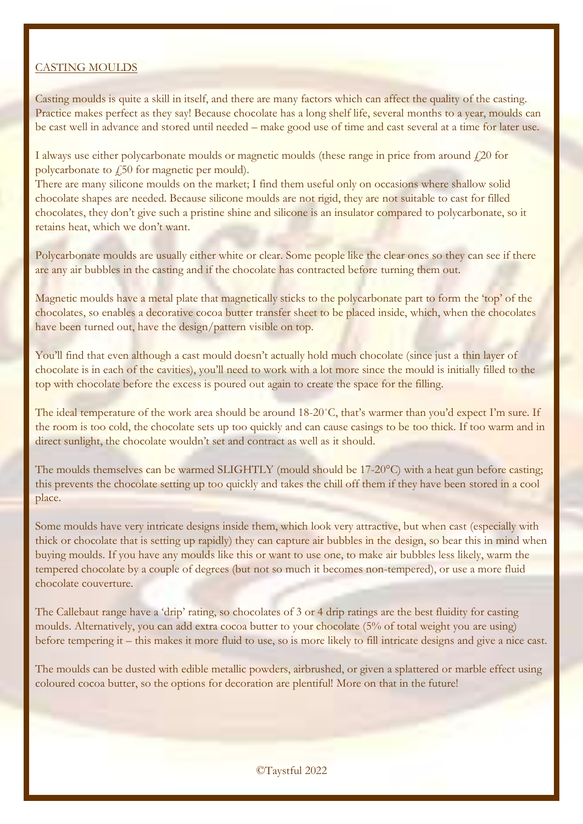#### CASTING MOULDS

Casting moulds is quite a skill in itself, and there are many factors which can affect the quality of the casting. Practice makes perfect as they say! Because chocolate has a long shelf life, several months to a year, moulds can be cast well in advance and stored until needed – make good use of time and cast several at a time for later use.

I always use either polycarbonate moulds or magnetic moulds (these range in price from around  $\ell$ 20 for polycarbonate to  $\sqrt{250}$  for magnetic per mould).

There are many silicone moulds on the market; I find them useful only on occasions where shallow solid chocolate shapes are needed. Because silicone moulds are not rigid, they are not suitable to cast for filled chocolates, they don't give such a pristine shine and silicone is an insulator compared to polycarbonate, so it retains heat, which we don't want.

Polycarbonate moulds are usually either white or clear. Some people like the clear ones so they can see if there are any air bubbles in the casting and if the chocolate has contracted before turning them out.

Magnetic moulds have a metal plate that magnetically sticks to the polycarbonate part to form the 'top' of the chocolates, so enables a decorative cocoa butter transfer sheet to be placed inside, which, when the chocolates have been turned out, have the design/pattern visible on top.

You'll find that even although a cast mould doesn't actually hold much chocolate (since just a thin layer of chocolate is in each of the cavities), you'll need to work with a lot more since the mould is initially filled to the top with chocolate before the excess is poured out again to create the space for the filling.

The ideal temperature of the work area should be around 18-20°C, that's warmer than you'd expect I'm sure. If the room is too cold, the chocolate sets up too quickly and can cause casings to be too thick. If too warm and in direct sunlight, the chocolate wouldn't set and contract as well as it should.

The moulds themselves can be warmed SLIGHTLY (mould should be 17-20°C) with a heat gun before casting; this prevents the chocolate setting up too quickly and takes the chill off them if they have been stored in a cool place.

Some moulds have very intricate designs inside them, which look very attractive, but when cast (especially with thick or chocolate that is setting up rapidly) they can capture air bubbles in the design, so bear this in mind when buying moulds. If you have any moulds like this or want to use one, to make air bubbles less likely, warm the tempered chocolate by a couple of degrees (but not so much it becomes non-tempered), or use a more fluid chocolate couverture.

The Callebaut range have a 'drip' rating, so chocolates of 3 or 4 drip ratings are the best fluidity for casting moulds. Alternatively, you can add extra cocoa butter to your chocolate (5% of total weight you are using) before tempering it – this makes it more fluid to use, so is more likely to fill intricate designs and give a nice cast.

The moulds can be dusted with edible metallic powders, airbrushed, or given a splattered or marble effect using coloured cocoa butter, so the options for decoration are plentiful! More on that in the future!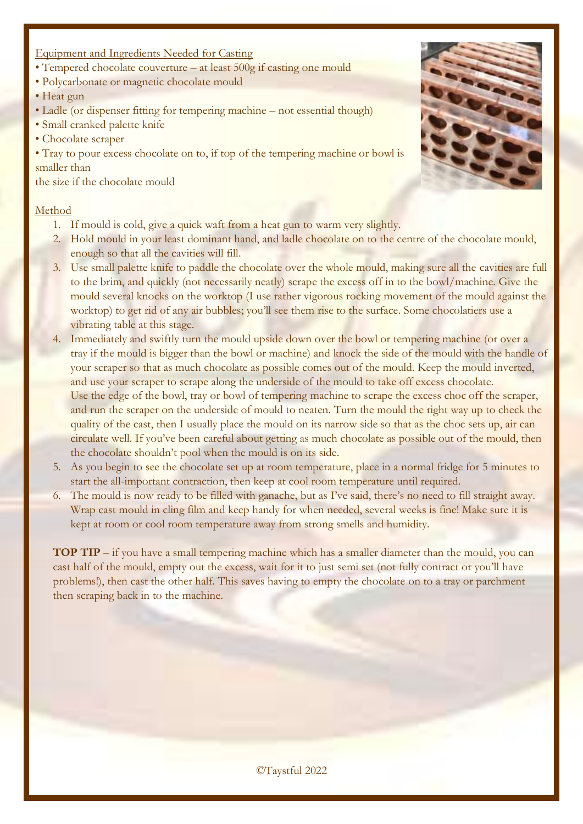## Equipment and Ingredients Needed for Casting

- Tempered chocolate couverture at least 500g if casting one mould
- Polycarbonate or magnetic chocolate mould
- Heat gun
- Ladle (or dispenser fitting for tempering machine not essential though)
- Small cranked palette knife
- Chocolate scraper

• Tray to pour excess chocolate on to, if top of the tempering machine or bowl is smaller than

the size if the chocolate mould

#### Method

- 1. If mould is cold, give a quick waft from a heat gun to warm very slightly.
- 2. Hold mould in your least dominant hand, and ladle chocolate on to the centre of the chocolate mould, enough so that all the cavities will fill.
- 3. Use small palette knife to paddle the chocolate over the whole mould, making sure all the cavities are full to the brim, and quickly (not necessarily neatly) scrape the excess off in to the bowl/machine. Give the mould several knocks on the worktop (I use rather vigorous rocking movement of the mould against the worktop) to get rid of any air bubbles; you'll see them rise to the surface. Some chocolatiers use a vibrating table at this stage.
- 4. Immediately and swiftly turn the mould upside down over the bowl or tempering machine (or over a tray if the mould is bigger than the bowl or machine) and knock the side of the mould with the handle of your scraper so that as much chocolate as possible comes out of the mould. Keep the mould inverted, and use your scraper to scrape along the underside of the mould to take off excess chocolate. Use the edge of the bowl, tray or bowl of tempering machine to scrape the excess choc off the scraper, and run the scraper on the underside of mould to neaten. Turn the mould the right way up to check the quality of the cast, then I usually place the mould on its narrow side so that as the choc sets up, air can circulate well. If you've been careful about getting as much chocolate as possible out of the mould, then the chocolate shouldn't pool when the mould is on its side.
- 5. As you begin to see the chocolate set up at room temperature, place in a normal fridge for 5 minutes to start the all-important contraction, then keep at cool room temperature until required.
- 6. The mould is now ready to be filled with ganache, but as I've said, there's no need to fill straight away. Wrap cast mould in cling film and keep handy for when needed, several weeks is fine! Make sure it is kept at room or cool room temperature away from strong smells and humidity.

**TOP TIP** – if you have a small tempering machine which has a smaller diameter than the mould, you can cast half of the mould, empty out the excess, wait for it to just semi set (not fully contract or you'll have problems!), then cast the other half. This saves having to empty the chocolate on to a tray or parchment then scraping back in to the machine.

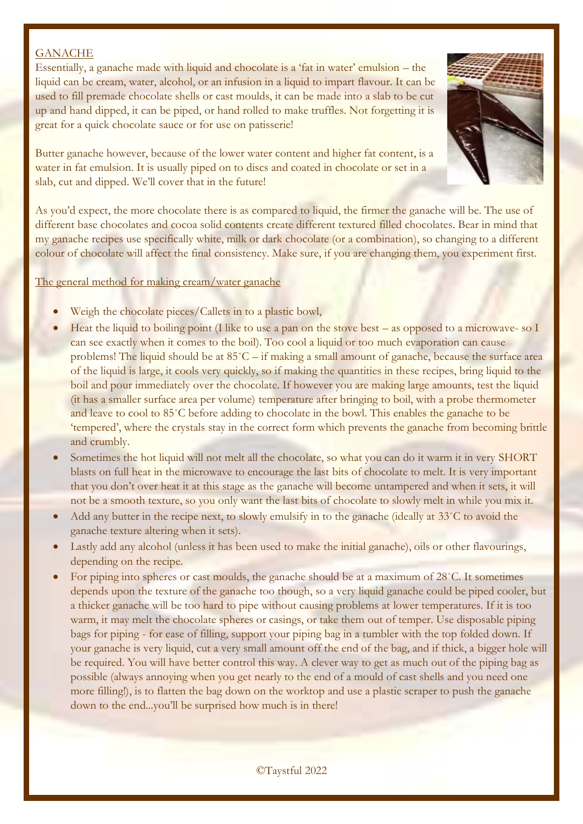## **GANACHE**

Essentially, a ganache made with liquid and chocolate is a 'fat in water' emulsion – the liquid can be cream, water, alcohol, or an infusion in a liquid to impart flavour. It can be used to fill premade chocolate shells or cast moulds, it can be made into a slab to be cut up and hand dipped, it can be piped, or hand rolled to make truffles. Not forgetting it is great for a quick chocolate sauce or for use on patisserie!



Butter ganache however, because of the lower water content and higher fat content, is a water in fat emulsion. It is usually piped on to discs and coated in chocolate or set in a slab, cut and dipped. We'll cover that in the future!

As you'd expect, the more chocolate there is as compared to liquid, the firmer the ganache will be. The use of different base chocolates and cocoa solid contents create different textured filled chocolates. Bear in mind that my ganache recipes use specifically white, milk or dark chocolate (or a combination), so changing to a different colour of chocolate will affect the final consistency. Make sure, if you are changing them, you experiment first.

#### The general method for making cream/water ganache

- Weigh the chocolate pieces/Callets in to a plastic bowl,
- Heat the liquid to boiling point (I like to use a pan on the stove best as opposed to a microwave- so I can see exactly when it comes to the boil). Too cool a liquid or too much evaporation can cause problems! The liquid should be at 85˚C – if making a small amount of ganache, because the surface area of the liquid is large, it cools very quickly, so if making the quantities in these recipes, bring liquid to the boil and pour immediately over the chocolate. If however you are making large amounts, test the liquid (it has a smaller surface area per volume) temperature after bringing to boil, with a probe thermometer and leave to cool to 85˚C before adding to chocolate in the bowl. This enables the ganache to be 'tempered', where the crystals stay in the correct form which prevents the ganache from becoming brittle and crumbly.
- Sometimes the hot liquid will not melt all the chocolate, so what you can do it warm it in very SHORT blasts on full heat in the microwave to encourage the last bits of chocolate to melt. It is very important that you don't over heat it at this stage as the ganache will become untampered and when it sets, it will not be a smooth texture, so you only want the last bits of chocolate to slowly melt in while you mix it.
- Add any butter in the recipe next, to slowly emulsify in to the ganache (ideally at 33°C to avoid the ganache texture altering when it sets).
- Lastly add any alcohol (unless it has been used to make the initial ganache), oils or other flavourings, depending on the recipe.
- For piping into spheres or cast moulds, the ganache should be at a maximum of 28˚C. It sometimes depends upon the texture of the ganache too though, so a very liquid ganache could be piped cooler, but a thicker ganache will be too hard to pipe without causing problems at lower temperatures. If it is too warm, it may melt the chocolate spheres or casings, or take them out of temper. Use disposable piping bags for piping - for ease of filling, support your piping bag in a tumbler with the top folded down. If your ganache is very liquid, cut a very small amount off the end of the bag, and if thick, a bigger hole will be required. You will have better control this way. A clever way to get as much out of the piping bag as possible (always annoying when you get nearly to the end of a mould of cast shells and you need one more filling!), is to flatten the bag down on the worktop and use a plastic scraper to push the ganache down to the end...you'll be surprised how much is in there!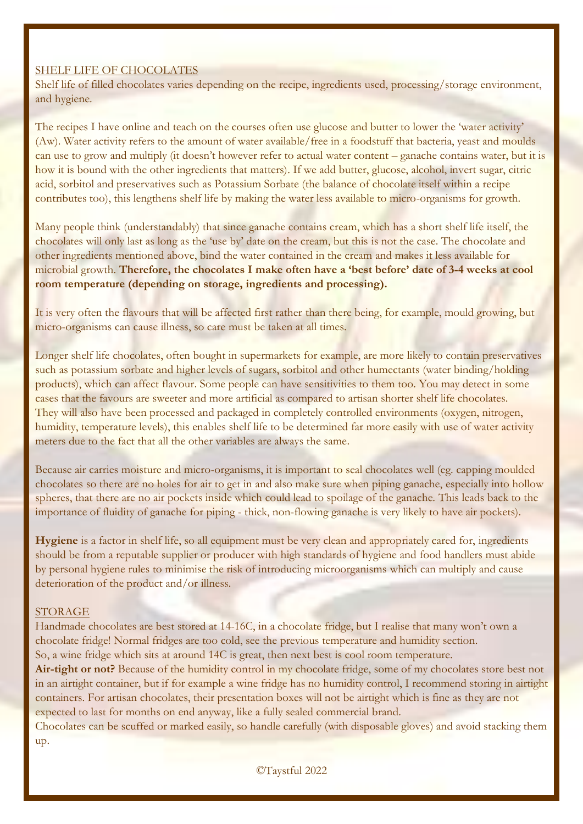## SHELF LIFE OF CHOCOLATES

Shelf life of filled chocolates varies depending on the recipe, ingredients used, processing/storage environment, and hygiene.

The recipes I have online and teach on the courses often use glucose and butter to lower the 'water activity' (Aw). Water activity refers to the amount of water available/free in a foodstuff that bacteria, yeast and moulds can use to grow and multiply (it doesn't however refer to actual water content – ganache contains water, but it is how it is bound with the other ingredients that matters). If we add butter, glucose, alcohol, invert sugar, citric acid, sorbitol and preservatives such as Potassium Sorbate (the balance of chocolate itself within a recipe contributes too), this lengthens shelf life by making the water less available to micro-organisms for growth.

Many people think (understandably) that since ganache contains cream, which has a short shelf life itself, the chocolates will only last as long as the 'use by' date on the cream, but this is not the case. The chocolate and other ingredients mentioned above, bind the water contained in the cream and makes it less available for microbial growth. **Therefore, the chocolates I make often have a 'best before' date of 3-4 weeks at cool room temperature (depending on storage, ingredients and processing).**

It is very often the flavours that will be affected first rather than there being, for example, mould growing, but micro-organisms can cause illness, so care must be taken at all times.

Longer shelf life chocolates, often bought in supermarkets for example, are more likely to contain preservatives such as potassium sorbate and higher levels of sugars, sorbitol and other humectants (water binding/holding products), which can affect flavour. Some people can have sensitivities to them too. You may detect in some cases that the favours are sweeter and more artificial as compared to artisan shorter shelf life chocolates. They will also have been processed and packaged in completely controlled environments (oxygen, nitrogen, humidity, temperature levels), this enables shelf life to be determined far more easily with use of water activity meters due to the fact that all the other variables are always the same.

Because air carries moisture and micro-organisms, it is important to seal chocolates well (eg. capping moulded chocolates so there are no holes for air to get in and also make sure when piping ganache, especially into hollow spheres, that there are no air pockets inside which could lead to spoilage of the ganache. This leads back to the importance of fluidity of ganache for piping - thick, non-flowing ganache is very likely to have air pockets).

**Hygiene** is a factor in shelf life, so all equipment must be very clean and appropriately cared for, ingredients should be from a reputable supplier or producer with high standards of hygiene and food handlers must abide by personal hygiene rules to minimise the risk of introducing microorganisms which can multiply and cause deterioration of the product and/or illness.

#### STORAGE

Handmade chocolates are best stored at 14-16C, in a chocolate fridge, but I realise that many won't own a chocolate fridge! Normal fridges are too cold, see the previous temperature and humidity section. So, a wine fridge which sits at around 14C is great, then next best is cool room temperature.

**Air-tight or not?** Because of the humidity control in my chocolate fridge, some of my chocolates store best not in an airtight container, but if for example a wine fridge has no humidity control, I recommend storing in airtight containers. For artisan chocolates, their presentation boxes will not be airtight which is fine as they are not expected to last for months on end anyway, like a fully sealed commercial brand.

Chocolates can be scuffed or marked easily, so handle carefully (with disposable gloves) and avoid stacking them up.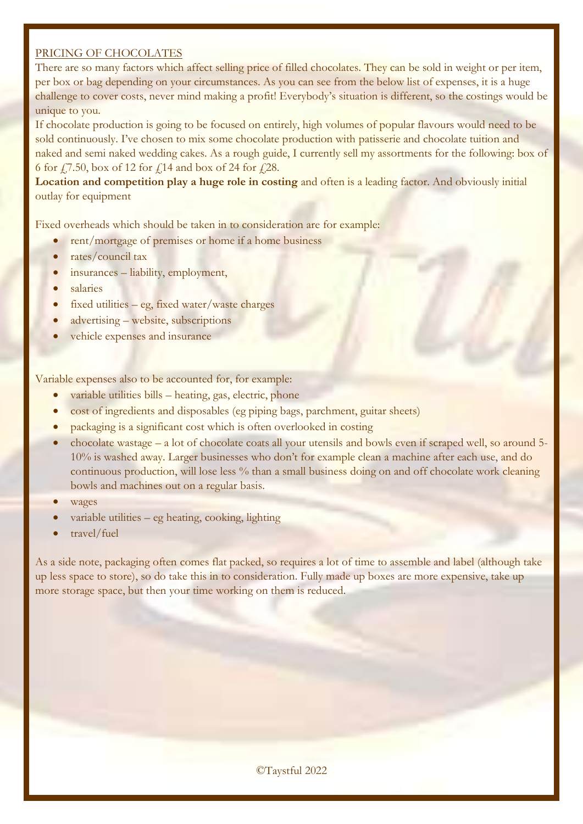#### PRICING OF CHOCOLATES

There are so many factors which affect selling price of filled chocolates. They can be sold in weight or per item, per box or bag depending on your circumstances. As you can see from the below list of expenses, it is a huge challenge to cover costs, never mind making a profit! Everybody's situation is different, so the costings would be unique to you.

If chocolate production is going to be focused on entirely, high volumes of popular flavours would need to be sold continuously. I've chosen to mix some chocolate production with patisserie and chocolate tuition and naked and semi naked wedding cakes. As a rough guide, I currently sell my assortments for the following: box of 6 for  $\sqrt{7.50}$ , box of 12 for  $\sqrt{14}$  and box of 24 for  $\sqrt{28}$ .

**Location and competition play a huge role in costing** and often is a leading factor. And obviously initial outlay for equipment

Fixed overheads which should be taken in to consideration are for example:

- rent/mortgage of premises or home if a home business
- rates/council tax
- insurances liability, employment,
- salaries
- fixed utilities  $-$  eg, fixed water/waste charges
- advertising website, subscriptions
- vehicle expenses and insurance

Variable expenses also to be accounted for, for example:

- variable utilities bills heating, gas, electric, phone
- cost of ingredients and disposables (eg piping bags, parchment, guitar sheets)
- packaging is a significant cost which is often overlooked in costing
- chocolate wastage a lot of chocolate coats all your utensils and bowls even if scraped well, so around 5- 10% is washed away. Larger businesses who don't for example clean a machine after each use, and do continuous production, will lose less % than a small business doing on and off chocolate work cleaning bowls and machines out on a regular basis.
- wages
- variable utilities eg heating, cooking, lighting
- travel/fuel

As a side note, packaging often comes flat packed, so requires a lot of time to assemble and label (although take up less space to store), so do take this in to consideration. Fully made up boxes are more expensive, take up more storage space, but then your time working on them is reduced.